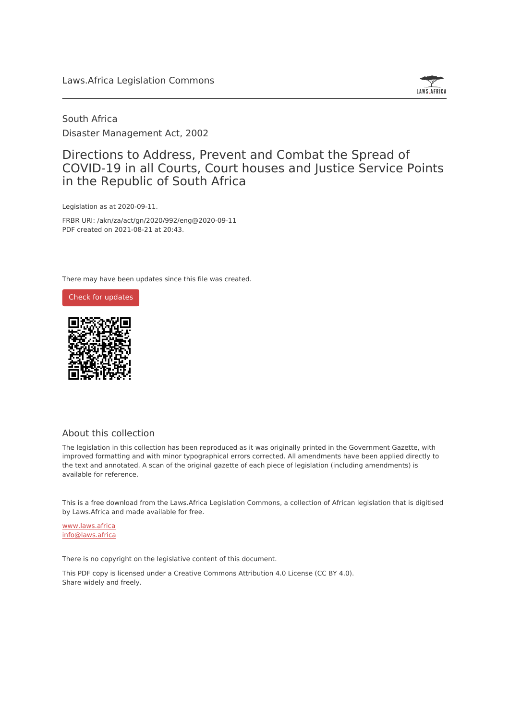

South Africa Disaster Management Act, 2002

## Directions to Address, Prevent and Combat the Spread of COVID-19 in all Courts, Court houses and Justice Service Points in the Republic of South Africa

Legislation as at 2020-09-11.

FRBR URI: /akn/za/act/gn/2020/992/eng@2020-09-11 PDF created on 2021-08-21 at 20:43.

There may have been updates since this file was created.





## About this collection

The legislation in this collection has been reproduced as it was originally printed in the Government Gazette, with improved formatting and with minor typographical errors corrected. All amendments have been applied directly to the text and annotated. A scan of the original gazette of each piece of legislation (including amendments) is available for reference.

This is a free download from the Laws.Africa Legislation Commons, a collection of African legislation that is digitised by Laws.Africa and made available for free.

[www.laws.africa](https://www.laws.africa) [info@laws.africa](mailto:info@laws.africa)

There is no copyright on the legislative content of this document.

This PDF copy is licensed under a Creative Commons Attribution 4.0 License (CC BY 4.0). Share widely and freely.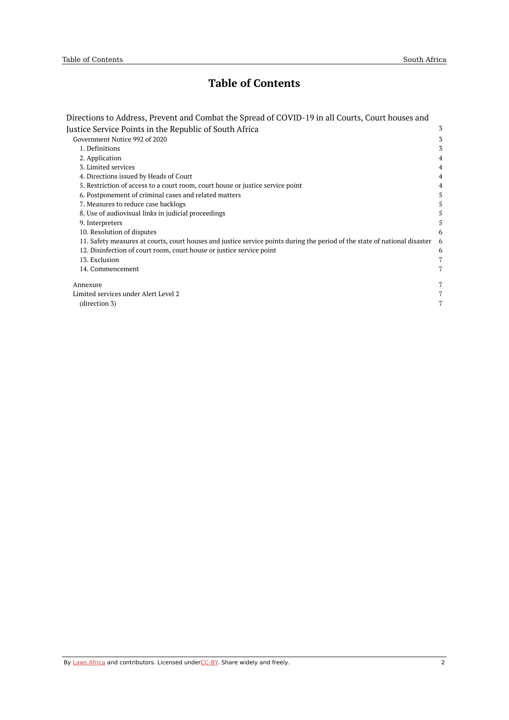## **Table of Contents**

| Directions to Address, Prevent and Combat the Spread of COVID-19 in all Courts, Court houses and                           |   |
|----------------------------------------------------------------------------------------------------------------------------|---|
| Justice Service Points in the Republic of South Africa                                                                     | 3 |
| Government Notice 992 of 2020                                                                                              | 3 |
| 1. Definitions                                                                                                             | 3 |
| 2. Application                                                                                                             | 4 |
| 3. Limited services                                                                                                        | 4 |
| 4. Directions issued by Heads of Court                                                                                     | 4 |
| 5. Restriction of access to a court room, court house or justice service point                                             | 4 |
| 6. Postponement of criminal cases and related matters                                                                      | 5 |
| 7. Measures to reduce case backlogs                                                                                        | 5 |
| 8. Use of audiovisual links in judicial proceedings                                                                        | 5 |
| 9. Interpreters                                                                                                            | 5 |
| 10. Resolution of disputes                                                                                                 | 6 |
| 11. Safety measures at courts, court houses and justice service points during the period of the state of national disaster | 6 |
| 12. Disinfection of court room, court house or justice service point                                                       | 6 |
| 13. Exclusion                                                                                                              |   |
| 14. Commencement                                                                                                           | 7 |
|                                                                                                                            |   |
| Annexure                                                                                                                   | 7 |
| Limited services under Alert Level 2                                                                                       |   |
| (direction 3)                                                                                                              | 7 |
|                                                                                                                            |   |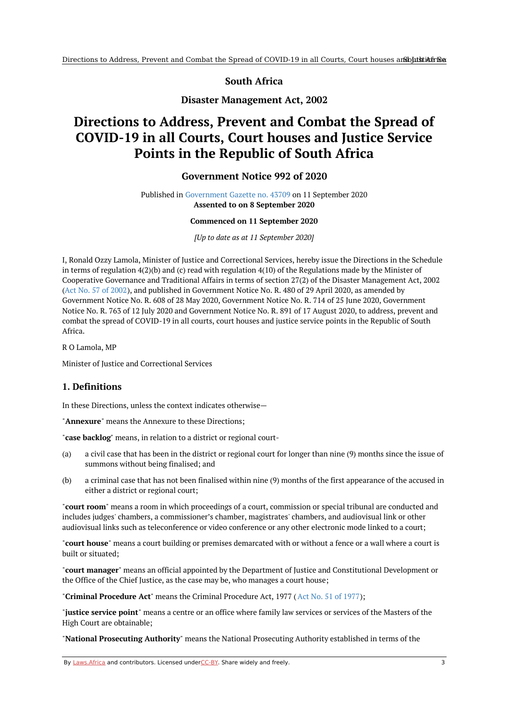## **South Africa**

**Disaster Management Act, 2002**

# <span id="page-2-1"></span><span id="page-2-0"></span>**Directions to Address, Prevent and Combat the Spread of COVID-19 in all Courts, Court houses and Justice Service Points in the Republic of South Africa**

### **Government Notice 992 of 2020**

Published in [Government](https://commons.laws.africa/akn/za/act/gn/2020/992/media/publication/za-act-gn-2020-992-publication-document.pdf) Gazette no. 43709 on 11 September 2020 **Assented to on 8 September 2020**

#### **Commenced on 11 September 2020**

*[Up to date as at 11 September 2020]*

I, Ronald Ozzy Lamola, Minister of Justice and Correctional Services, hereby issue the Directions in the Schedule in terms of regulation 4(2)(b) and (c) read with regulation 4(10) of the Regulations made by the Minister of Cooperative Governance and Traditional Affairs in terms of section 27(2) of the Disaster Management Act, 2002 (Act No. 57 of [2002](https://africanlii.org/akn/za/act/2002/57)), and published in Government Notice No. R. 480 of 29 April 2020, as amended by Government Notice No. R. 608 of 28 May 2020, Government Notice No. R. 714 of 25 June 2020, Government Notice No. R. 763 of 12 July 2020 and Government Notice No. R. 891 of 17 August 2020, to address, prevent and combat the spread of COVID-19 in all courts, court houses and justice service points in the Republic of South Africa.

R O Lamola, MP

Minister of Justice and Correctional Services

### <span id="page-2-2"></span>**1. Definitions**

In these Directions, unless the context indicates otherwise—

"**Annexure**" means the Annexure to these Directions;

"**case backlog**" means, in relation to a district or regional court-

- (a) a civil case that has been in the district or regional court for longer than nine (9) months since the issue of summons without being finalised; and
- (b) a criminal case that has not been finalised within nine (9) months of the first appearance of the accused in either a district or regional court;

"**court room**" means a room in which proceedings of a court, commission or special tribunal are conducted and includes judges' chambers, a commissioner's chamber, magistrates' chambers, and audiovisual link or other audiovisual links such as teleconference or video conference or any other electronic mode linked to a court;

"**court house**" means a court building or premises demarcated with or without a fence or a wall where a court is built or situated;

"**court manager**" means an official appointed by the Department of Justice and Constitutional Development or the Office of the Chief Justice, as the case may be, who manages a court house;

"**Criminal Procedure Act**" means the Criminal Procedure Act, 1977 (Act No. 51 of [1977](https://africanlii.org/akn/za/act/1977/51));

"**justice service point**" means a centre or an office where family law services or services of the Masters of the High Court are obtainable;

"**National Prosecuting Authority**" means the National Prosecuting Authority established in terms of the

By [Laws.Africa](https://edit.laws.africa/widgets/pdf-attribution) and contributors. Licensed und[erCC-B](https://edit.laws.africa/widgets/pdf-cc-by)Y. Share widely and freely. 3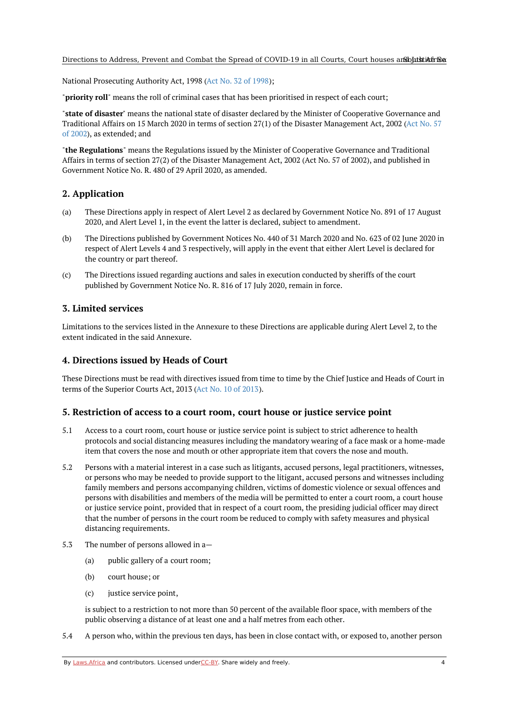National Prosecuting Authority Act, 1998 (Act No. 32 of [1998](https://africanlii.org/akn/za/act/1998/32));

"**priority roll**" means the roll of criminal cases that has been prioritised in respect of each court;

"**state of disaster**" means the national state of disaster declared by the Minister of Cooperative Governance and Traditional Affairs on 15 March 2020 in terms of section 27(1) of the Disaster [Management](https://africanlii.org/akn/za/act/2002/57) Act, 2002 (Act No. 57 of 2002), as extended; and

"**the Regulations**" means the Regulations issued by the Minister of Cooperative Governance and Traditional Affairs in terms of section 27(2) of the Disaster Management Act, 2002 (Act No. 57 of 2002), and published in Government Notice No. R. 480 of 29 April 2020, as amended.

#### <span id="page-3-0"></span>**2. Application**

- (a) These Directions apply in respect of Alert Level 2 as declared by Government Notice No. 891 of 17 August 2020, and Alert Level 1, in the event the latter is declared, subject to amendment.
- $(h)$ The Directions published by Government Notices No. 440 of 31 March 2020 and No. 623 of 02 June 2020 in respect of Alert Levels 4 and 3 respectively, will apply in the event that either Alert Level is declared for the country or part thereof.
- (c) The Directions issued regarding auctions and sales in execution conducted by sheriffs of the court published by Government Notice No. R. 816 of 17 July 2020, remain in force.

#### <span id="page-3-1"></span>**3. Limited services**

Limitations to the services listed in the Annexure to these Directions are applicable during Alert Level 2, to the extent indicated in the said Annexure.

## <span id="page-3-2"></span>**4. Directions issued by Heads of Court**

These Directions must be read with directives issued from time to time by the Chief Justice and Heads of Court in terms of the Superior Courts Act, 2013 (Act No. 10 of [2013](https://africanlii.org/akn/za/act/2013/10)).

#### <span id="page-3-3"></span>**5. Restriction of access to a court room, court house or justice service point**

- 5.1 Access to a court room, court house or justice service point is subject to strict adherence to health protocols and social distancing measures including the mandatory wearing of a face mask or a home-made item that covers the nose and mouth or other appropriate item that covers the nose and mouth.
- 5.2 Persons with a material interest in a case such as litigants, accused persons, legal practitioners, witnesses, or persons who may be needed to provide support to the litigant, accused persons and witnesses including family members and persons accompanying children, victims of domestic violence or sexual offences and persons with disabilities and members of the media will be permitted to enter a court room, a court house or justice service point, provided that in respect of a court room, the presiding judicial officer may direct that the number of persons in the court room be reduced to comply with safety measures and physical distancing requirements.
- 5.3 The number of persons allowed in a—
	- (a) public gallery of a court room;
	- (b) court house; or
	- (c) justice service point,

is subject to a restriction to not more than 50 percent of the available floor space, with members of the public observing a distance of at least one and a half metres from each other.

5.4 A person who, within the previous ten days, has been in close contact with, or exposed to, another person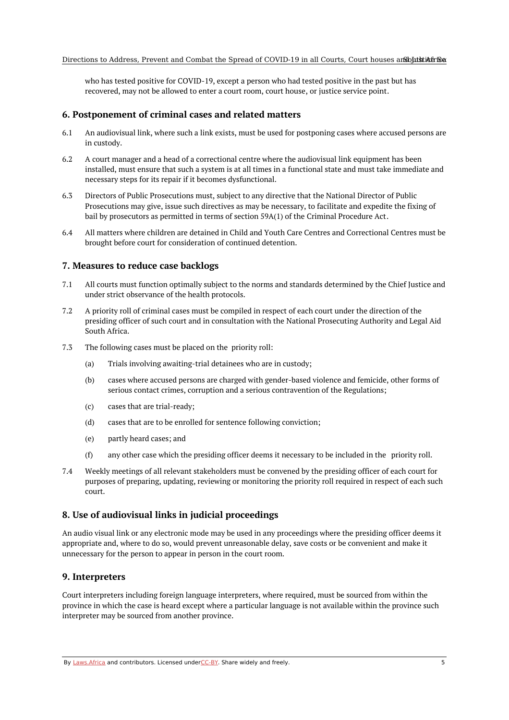who has tested positive for COVID-19, except a person who had tested positive in the past but has recovered, may not be allowed to enter a court room, court house, or justice service point.

#### <span id="page-4-0"></span>**6. Postponement of criminal cases and related matters**

- 6.1 An audiovisual link, where such a link exists, must be used for postponing cases where accused persons are in custody.
- 6.2 A court manager and a head of a correctional centre where the audiovisual link equipment has been installed, must ensure that such a system is at all times in a functional state and must take immediate and necessary steps for its repair if it becomes dysfunctional.
- 6.3 Directors of Public Prosecutions must, subject to any directive that the National Director of Public Prosecutions may give, issue such directives as may be necessary, to facilitate and expedite the fixing of bail by prosecutors as permitted in terms of section 59A(1) of the Criminal Procedure Act.
- 6.4 All matters where children are detained in Child and Youth Care Centres and Correctional Centres must be brought before court for consideration of continued detention.

#### <span id="page-4-1"></span>**7. Measures to reduce case backlogs**

- 7.1 All courts must function optimally subject to the norms and standards determined by the Chief Justice and under strict observance of the health protocols.
- 7.2 A priority roll of criminal cases must be compiled in respect of each court under the direction of the presiding officer of such court and in consultation with the National Prosecuting Authority and Legal Aid South Africa.
- 7.3 The following cases must be placed on the priority roll:
	- (a) Trials involving awaiting-trial detainees who are in custody;
	- (b) cases where accused persons are charged with gender-based violence and femicide, other forms of serious contact crimes, corruption and a serious contravention of the Regulations;
	- (c) cases that are trial-ready;
	- (d) cases that are to be enrolled for sentence following conviction;
	- (e) partly heard cases; and
	- (f) any other case which the presiding officer deems it necessary to be included in the priority roll.
- 7.4 Weekly meetings of all relevant stakeholders must be convened by the presiding officer of each court for purposes of preparing, updating, reviewing or monitoring the priority roll required in respect of each such court.

#### <span id="page-4-2"></span>**8. Use of audiovisual links in judicial proceedings**

An audio visual link or any electronic mode may be used in any proceedings where the presiding officer deems it appropriate and, where to do so, would prevent unreasonable delay, save costs or be convenient and make it unnecessary for the person to appear in person in the court room.

#### <span id="page-4-3"></span>**9. Interpreters**

Court interpreters including foreign language interpreters, where required, must be sourced from within the province in which the case is heard except where a particular language is not available within the province such interpreter may be sourced from another province.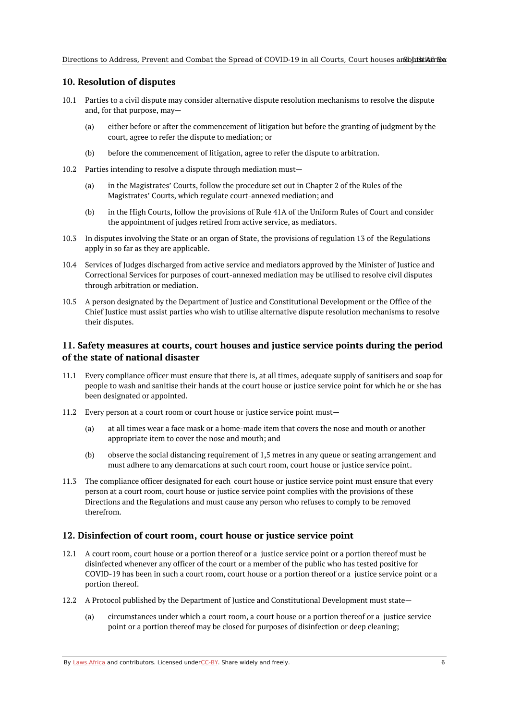## <span id="page-5-0"></span>**10. Resolution of disputes**

- 10.1 Parties to a civil dispute may consider alternative dispute resolution mechanisms to resolve the dispute and, for that purpose, may—
	- (a) either before or after the commencement of litigation but before the granting of judgment by the court, agree to refer the dispute to mediation; or
	- (b) before the commencement of litigation, agree to refer the dispute to arbitration.
- 10.2 Parties intending to resolve a dispute through mediation must—
	- (a) in the Magistrates' Courts, follow the procedure set out in Chapter 2 of the Rules of the Magistrates' Courts, which regulate court-annexed mediation; and
	- (b) in the High Courts, follow the provisions of Rule 41A of the Uniform Rules of Court and consider the appointment of judges retired from active service, as mediators.
- 10.3 In disputes involving the State or an organ of State, the provisions of regulation 13 of the Regulations apply in so far as they are applicable.
- 10.4 Services of Judges discharged from active service and mediators approved by the Minister of Justice and Correctional Services for purposes of court-annexed mediation may be utilised to resolve civil disputes through arbitration or mediation.
- 10.5 A person designated by the Department of Justice and Constitutional Development or the Office of the Chief Justice must assist parties who wish to utilise alternative dispute resolution mechanisms to resolve their disputes.

## <span id="page-5-1"></span>**11. Safety measures at courts, court houses and justice service points during the period of the state of national disaster**

- 11.1 Every compliance officer must ensure that there is, at all times, adequate supply of sanitisers and soap for people to wash and sanitise their hands at the court house or justice service point for which he or she has been designated or appointed.
- 11.2 Every person at a court room or court house or justice service point must—
	- (a) at all times wear a face mask or a home-made item that covers the nose and mouth or another appropriate item to cover the nose and mouth; and
	- (b) observe the social distancing requirement of 1,5 metres in any queue or seating arrangement and must adhere to any demarcations at such court room, court house or justice service point.
- 11.3 The compliance officer designated for each court house or justice service point must ensure that every person at a court room, court house or justice service point complies with the provisions of these Directions and the Regulations and must cause any person who refuses to comply to be removed therefrom.

#### <span id="page-5-2"></span>**12. Disinfection of court room, court house or justice service point**

- 12.1 A court room, court house or a portion thereof or a justice service point or a portion thereof must be disinfected whenever any officer of the court or a member of the public who has tested positive for COVID-19 has been in such a court room, court house or a portion thereof or a justice service point or a portion thereof.
- 12.2 A Protocol published by the Department of Justice and Constitutional Development must state—
	- (a) circumstances under which a court room, a court house or a portion thereof or a justice service point or a portion thereof may be closed for purposes of disinfection or deep cleaning;